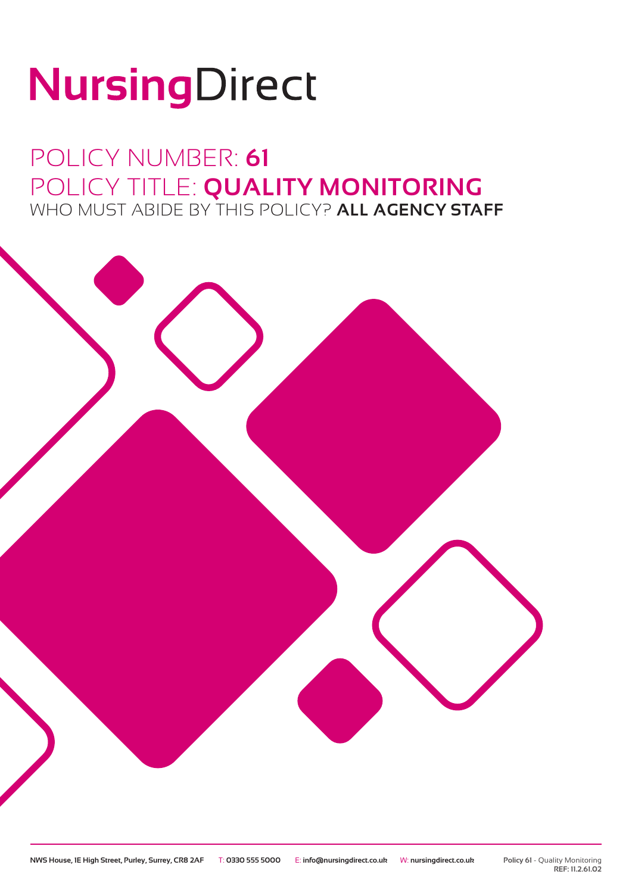# NursingDirect

## POLICY NUMBER: **61** POLICY TITLE: **QUALITY MONITORING** WHO MUST ABIDE BY THIS POLICY? **ALL AGENCY STAFF**

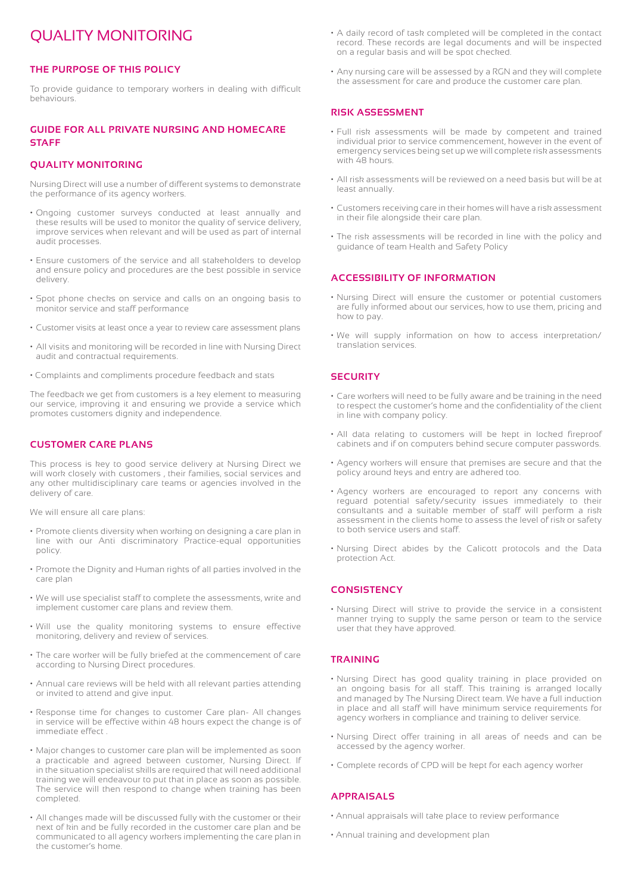### QUALITY MONITORING

#### **THE PURPOSE OF THIS POLICY**

To provide guidance to temporary workers in dealing with difficult behaviours.

#### **GUIDE FOR ALL PRIVATE NURSING AND HOMECARE STAFF**

#### **QUALITY MONITORING**

Nursing Direct will use a number of different systems to demonstrate the performance of its agency workers.

- Ongoing customer surveys conducted at least annually and these results will be used to monitor the quality of service delivery, improve services when relevant and will be used as part of internal audit processes.
- Ensure customers of the service and all stakeholders to develop and ensure policy and procedures are the best possible in service delivery.
- Spot phone checks on service and calls on an ongoing basis to monitor service and staff performance
- Customer visits at least once a year to review care assessment plans
- All visits and monitoring will be recorded in line with Nursing Direct audit and contractual requirements.
- Complaints and compliments procedure feedback and stats

The feedback we get from customers is a key element to measuring our service, improving it and ensuring we provide a service which promotes customers dignity and independence.

#### **CUSTOMER CARE PLANS**

This process is key to good service delivery at Nursing Direct we will work closely with customers , their families, social services and any other multidisciplinary care teams or agencies involved in the delivery of care.

We will ensure all care plans:

- Promote clients diversity when working on designing a care plan in line with our Anti discriminatory Practice-equal opportunities policy.
- Promote the Dignity and Human rights of all parties involved in the care plan
- We will use specialist staff to complete the assessments, write and implement customer care plans and review them.
- Will use the quality monitoring systems to ensure effective monitoring, delivery and review of services.
- The care worker will be fully briefed at the commencement of care according to Nursing Direct procedures.
- Annual care reviews will be held with all relevant parties attending or invited to attend and give input.
- Response time for changes to customer Care plan- All changes in service will be effective within 48 hours expect the change is of immediate effect .
- Major changes to customer care plan will be implemented as soon a practicable and agreed between customer, Nursing Direct. If in the situation specialist skills are required that will need additional training we will endeavour to put that in place as soon as possible. The service will then respond to change when training has been completed.
- All changes made will be discussed fully with the customer or their next of kin and be fully recorded in the customer care plan and be communicated to all agency workers implementing the care plan in the customer's home.
- A daily record of task completed will be completed in the contact record. These records are legal documents and will be inspected on a regular basis and will be spot checked.
- Any nursing care will be assessed by a RGN and they will complete the assessment for care and produce the customer care plan.

#### **RISK ASSESSMENT**

- Full risk assessments will be made by competent and trained individual prior to service commencement, however in the event of emergency services being set up we will complete risk assessments with 48 hours.
- All risk assessments will be reviewed on a need basis but will be at least annually.
- Customers receiving care in their homes will have a risk assessment in their file alongside their care plan.
- The risk assessments will be recorded in line with the policy and guidance of team Health and Safety Policy

#### **ACCESSIBILITY OF INFORMATION**

- Nursing Direct will ensure the customer or potential customers are fully informed about our services, how to use them, pricing and how to pay.
- We will supply information on how to access interpretation/ translation services.

#### **SECURITY**

- Care workers will need to be fully aware and be training in the need to respect the customer's home and the confidentiality of the client in line with company policy.
- All data relating to customers will be kept in locked fireproof cabinets and if on computers behind secure computer passwords.
- Agency workers will ensure that premises are secure and that the policy around keys and entry are adhered too.
- Agency workers are encouraged to report any concerns with reguard potential safety/security issues immediately to their consultants and a suitable member of staff will perform a risk assessment in the clients home to assess the level of risk or safety to both service users and staff.
- Nursing Direct abides by the Calicott protocols and the Data protection Act.

#### **CONSISTENCY**

• Nursing Direct will strive to provide the service in a consistent manner trying to supply the same person or team to the service user that they have approved.

#### **TRAINING**

- Nursing Direct has good quality training in place provided on an ongoing basis for all staff. This training is arranged locally and managed by The Nursing Direct team. We have a full induction in place and all staff will have minimum service requirements for agency workers in compliance and training to deliver service.
- Nursing Direct offer training in all areas of needs and can be accessed by the agency worker.
- Complete records of CPD will be kept for each agency worker

#### **APPRAISALS**

- Annual appraisals will take place to review performance
- Annual training and development plan